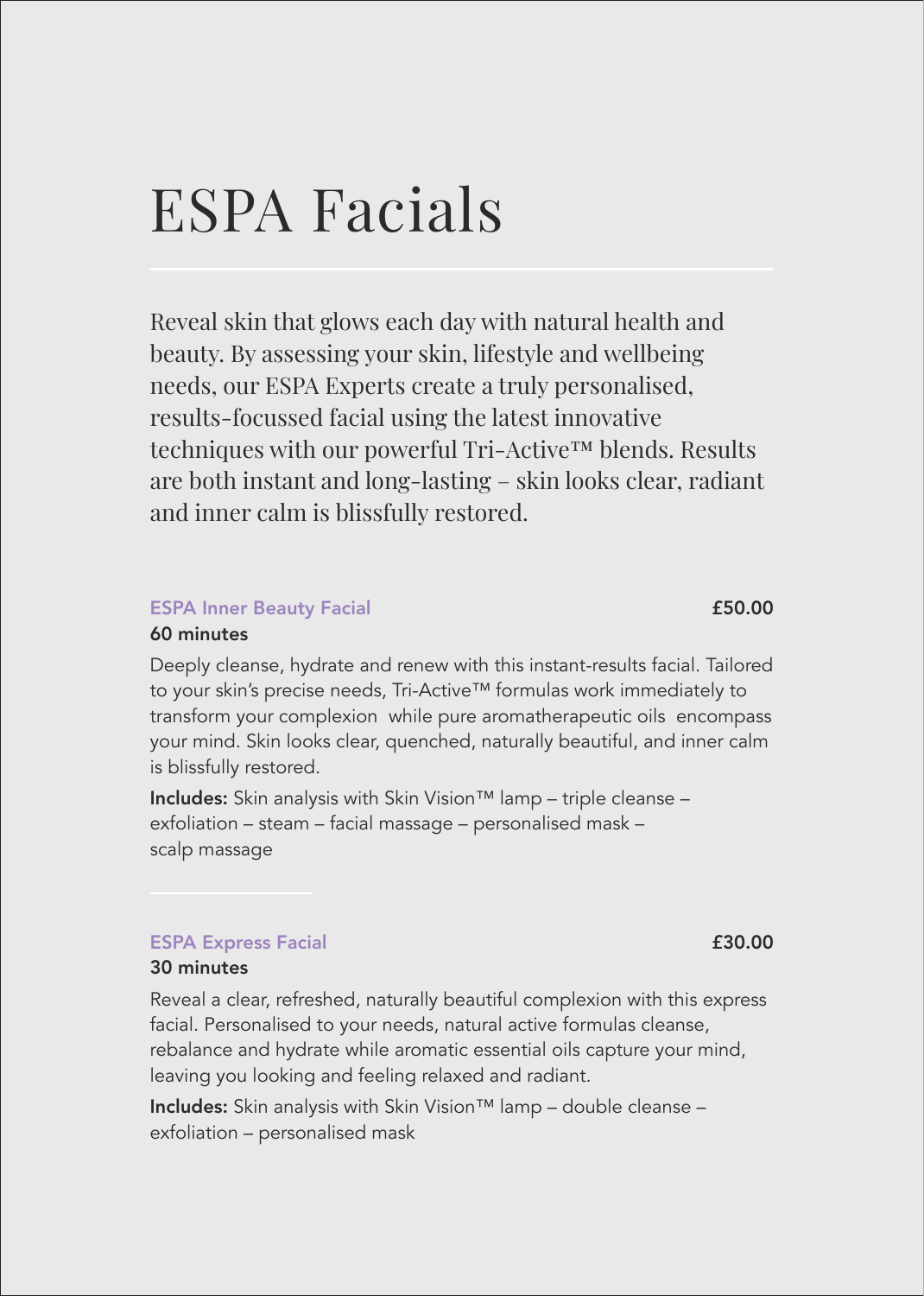# ESPA Facials

Reveal skin that glows each day with natural health and beauty. By assessing your skin, lifestyle and wellbeing needs, our ESPA Experts create a truly personalised, results-focussed facial using the latest innovative techniques with our powerful Tri-Active™ blends. Results are both instant and long-lasting – skin looks clear, radiant and inner calm is blissfully restored.

### ESPA Inner Beauty Facial **ESPA Inner Beauty Facial**

#### 60 minutes

Deeply cleanse, hydrate and renew with this instant-results facial. Tailored to your skin's precise needs, Tri-Active™ formulas work immediately to transform your complexion while pure aromatherapeutic oils encompass your mind. Skin looks clear, quenched, naturally beautiful, and inner calm is blissfully restored.

Includes: Skin analysis with Skin Vision™ lamp – triple cleanse – exfoliation – steam – facial massage – personalised mask – scalp massage

### ESPA Express Facial **ESPA** Express Facial **ESPA** Express Facial **ESPA** Express Facial **ESPA**

#### 30 minutes

Reveal a clear, refreshed, naturally beautiful complexion with this express facial. Personalised to your needs, natural active formulas cleanse, rebalance and hydrate while aromatic essential oils capture your mind, leaving you looking and feeling relaxed and radiant.

Includes: Skin analysis with Skin Vision™ lamp – double cleanse – exfoliation – personalised mask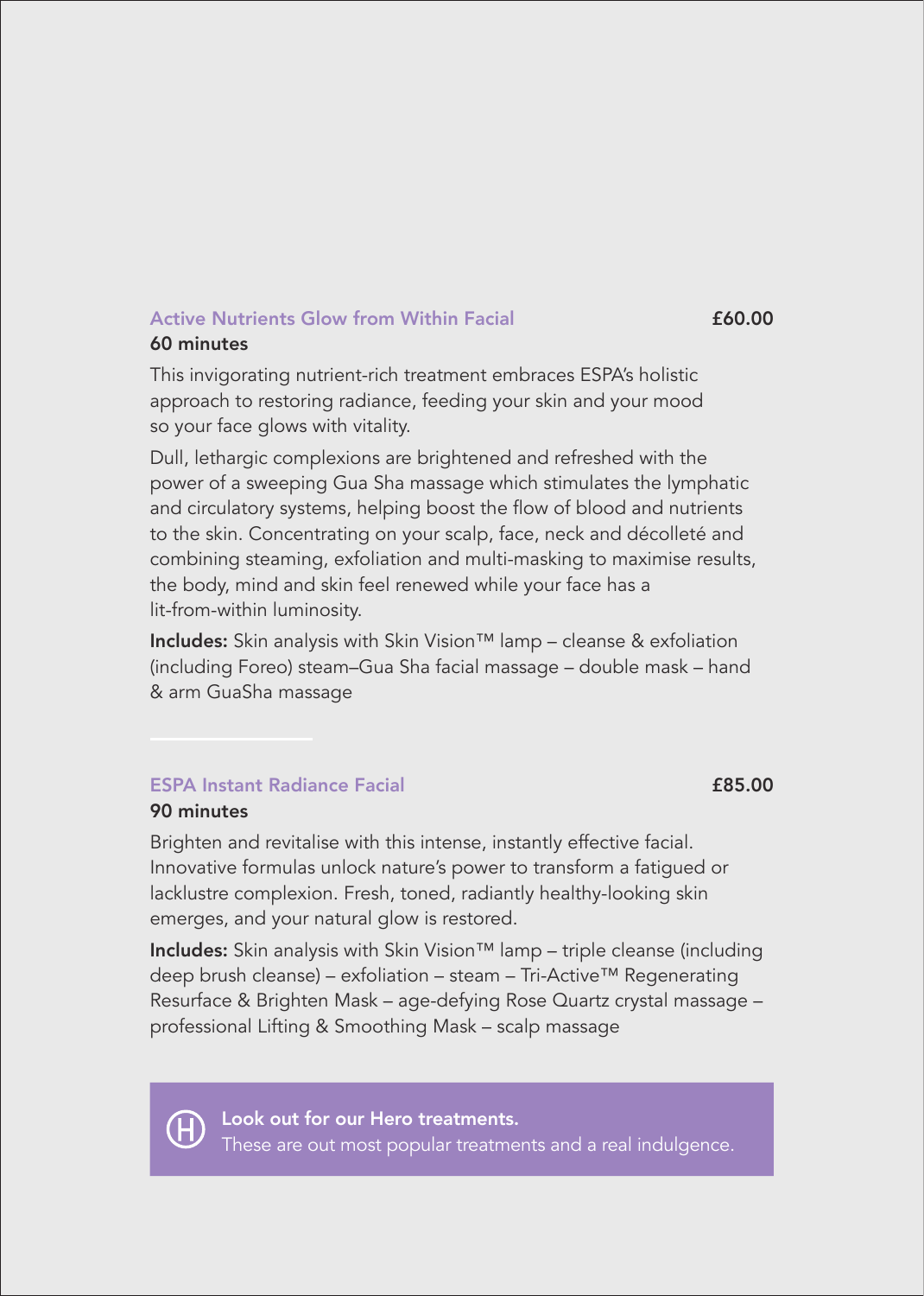#### Active Nutrients Glow from Within Facial **£60.00** 60 minutes

This invigorating nutrient-rich treatment embraces ESPA's holistic approach to restoring radiance, feeding your skin and your mood so your face glows with vitality.

Dull, lethargic complexions are brightened and refreshed with the power of a sweeping Gua Sha massage which stimulates the lymphatic and circulatory systems, helping boost the flow of blood and nutrients to the skin. Concentrating on your scalp, face, neck and décolleté and combining steaming, exfoliation and multi-masking to maximise results, the body, mind and skin feel renewed while your face has a lit-from-within luminosity.

Includes: Skin analysis with Skin Vision™ lamp – cleanse & exfoliation (including Foreo) steam–Gua Sha facial massage – double mask – hand & arm GuaSha massage

### **ESPA Instant Radiance Facial 2008 ESPA Instant Radiance Facial**

#### 90 minutes

Brighten and revitalise with this intense, instantly effective facial. Innovative formulas unlock nature's power to transform a fatigued or lacklustre complexion. Fresh, toned, radiantly healthy-looking skin emerges, and your natural glow is restored.

Includes: Skin analysis with Skin Vision™ lamp – triple cleanse (including deep brush cleanse) – exfoliation – steam – Tri-Active™ Regenerating Resurface & Brighten Mask – age-defying Rose Quartz crystal massage – professional Lifting & Smoothing Mask – scalp massage



Look out for our Hero treatments. These are out most popular treatments and a real indulgence.